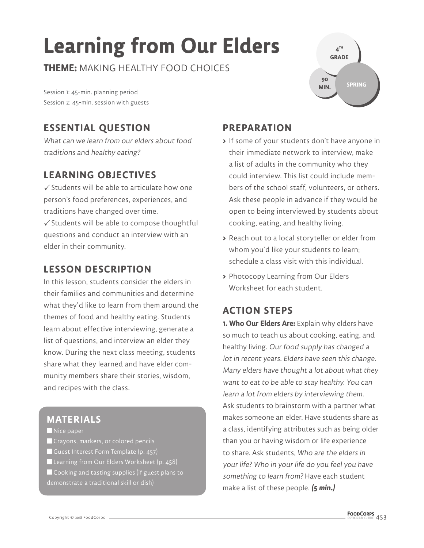# **Learning from Our Elders**

**THEME:** MAKING HEALTHY FOOD CHOICES

Session 1: 45-min. planning period Session 2: 45-min. session with guests

## **ESSENTIAL QUESTION**

What can we learn from our elders about food traditions and healthy eating?

## **LEARNING OBJECTIVES**

 $\checkmark$  Students will be able to articulate how one person's food preferences, experiences, and traditions have changed over time.

 $\checkmark$  Students will be able to compose thoughtful questions and conduct an interview with an elder in their community.

### **LESSON DESCRIPTION**

In this lesson, students consider the elders in their families and communities and determine what they'd like to learn from them around the themes of food and healthy eating. Students learn about effective interviewing, generate a list of questions, and interview an elder they know. During the next class meeting, students share what they learned and have elder community members share their stories, wisdom, and recipes with the class.

## **MATERIALS**

 $\blacksquare$  Nice paper

- **Crayons, markers, or colored pencils**
- Guest Interest Form Template (p. 457)
- Learning from Our Elders Worksheet (p. 458) Cooking and tasting supplies (if guest plans to
- 

**4 TH GRADE SPRING 90 MIN.**

## **PREPARATION**

- **>** If some of your students don't have anyone in their immediate network to interview, make a list of adults in the community who they could interview. This list could include members of the school staff, volunteers, or others. Ask these people in advance if they would be open to being interviewed by students about cooking, eating, and healthy living.
- **>** Reach out to a local storyteller or elder from whom you'd like your students to learn; schedule a class visit with this individual.
- **>** Photocopy Learning from Our Elders Worksheet for each student.

## **ACTION STEPS**

**1. Who Our Elders Are:** Explain why elders have so much to teach us about cooking, eating, and healthy living. Our food supply has changed a lot in recent years. Elders have seen this change. Many elders have thought a lot about what they want to eat to be able to stay healthy. You can learn a lot from elders by interviewing them. Ask students to brainstorm with a partner what makes someone an elder. Have students share as a class, identifying attributes such as being older than you or having wisdom or life experience to share. Ask students, Who are the elders in your life? Who in your life do you feel you have something to learn from? Have each student make a list of these people. **(5 min.)**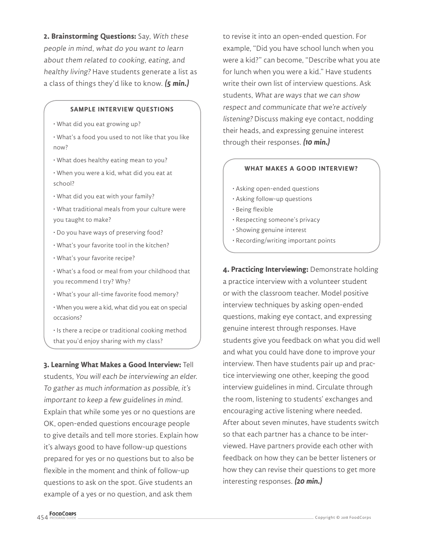**2. Brainstorming Questions:** Say, With these people in mind, what do you want to learn about them related to cooking, eating, and healthy living? Have students generate a list as a class of things they'd like to know. **(5 min.)**

#### **SAMPLE INTERVIEW QUESTIONS**

- What did you eat growing up?
- What's a food you used to not like that you like now?
- What does healthy eating mean to you?
- When you were a kid, what did you eat at school?
- What did you eat with your family?
- What traditional meals from your culture were you taught to make?
- Do you have ways of preserving food?
- What's your favorite tool in the kitchen?
- What's your favorite recipe?
- What's a food or meal from your childhood that you recommend I try? Why?
- What's your all-time favorite food memory?
- When you were a kid, what did you eat on special occasions?
- Is there a recipe or traditional cooking method that you'd enjoy sharing with my class?

**3. Learning What Makes a Good Interview:** Tell students, You will each be interviewing an elder. To gather as much information as possible, it's important to keep a few guidelines in mind. Explain that while some yes or no questions are OK, open-ended questions encourage people to give details and tell more stories. Explain how it's always good to have follow-up questions prepared for yes or no questions but to also be flexible in the moment and think of follow-up questions to ask on the spot. Give students an example of a yes or no question, and ask them

to revise it into an open-ended question. For example, "Did you have school lunch when you were a kid?" can become, "Describe what you ate for lunch when you were a kid." Have students write their own list of interview questions. Ask students, What are ways that we can show respect and communicate that we're actively listening? Discuss making eye contact, nodding their heads, and expressing genuine interest through their responses. **(10 min.)**

#### **WHAT MAKES A GOOD INTERVIEW?**

- Asking open-ended questions
- Asking follow-up questions
- Being flexible
- Respecting someone's privacy
- Showing genuine interest
- Recording/writing important points

**4. Practicing Interviewing:** Demonstrate holding a practice interview with a volunteer student or with the classroom teacher. Model positive interview techniques by asking open-ended questions, making eye contact, and expressing genuine interest through responses. Have students give you feedback on what you did well and what you could have done to improve your interview. Then have students pair up and practice interviewing one other, keeping the good interview guidelines in mind. Circulate through the room, listening to students' exchanges and encouraging active listening where needed. After about seven minutes, have students switch so that each partner has a chance to be interviewed. Have partners provide each other with feedback on how they can be better listeners or how they can revise their questions to get more interesting responses. **(20 min.)**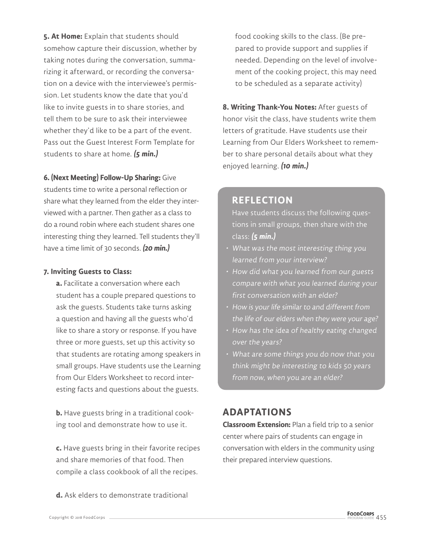**5. At Home:** Explain that students should somehow capture their discussion, whether by taking notes during the conversation, summarizing it afterward, or recording the conversation on a device with the interviewee's permission. Let students know the date that you'd like to invite guests in to share stories, and tell them to be sure to ask their interviewee whether they'd like to be a part of the event. Pass out the Guest Interest Form Template for students to share at home. **(5 min.)**

#### **6. (Next Meeting) Follow-Up Sharing:** Give

students time to write a personal reflection or share what they learned from the elder they interviewed with a partner. Then gather as a class to do a round robin where each student shares one interesting thing they learned. Tell students they'll have a time limit of 30 seconds. **(20 min.)**

#### **7. Inviting Guests to Class:**

**a.** Facilitate a conversation where each student has a couple prepared questions to ask the guests. Students take turns asking a question and having all the guests who'd like to share a story or response. If you have three or more guests, set up this activity so that students are rotating among speakers in small groups. Have students use the Learning from Our Elders Worksheet to record interesting facts and questions about the guests.

**b.** Have guests bring in a traditional cooking tool and demonstrate how to use it.

**c.** Have guests bring in their favorite recipes and share memories of that food. Then compile a class cookbook of all the recipes.

**d.** Ask elders to demonstrate traditional

food cooking skills to the class. (Be prepared to provide support and supplies if needed. Depending on the level of involvement of the cooking project, this may need to be scheduled as a separate activity)

**8. Writing Thank-You Notes:** After guests of honor visit the class, have students write them letters of gratitude. Have students use their Learning from Our Elders Worksheet to remember to share personal details about what they enjoyed learning. **(10 min.)**

#### **REFLECTION**

Have students discuss the following questions in small groups, then share with the class: **(5 min.)**

- What was the most interesting thing you learned from your interview?
- How did what you learned from our guests compare with what you learned during your first conversation with an elder?
- How is your life similar to and different from the life of our elders when they were your age?
- How has the idea of healthy eating changed over the years?
- What are some things you do now that you think might be interesting to kids 50 years from now, when you are an elder?

#### **ADAPTATIONS**

**Classroom Extension:** Plan a field trip to a senior center where pairs of students can engage in conversation with elders in the community using their prepared interview questions.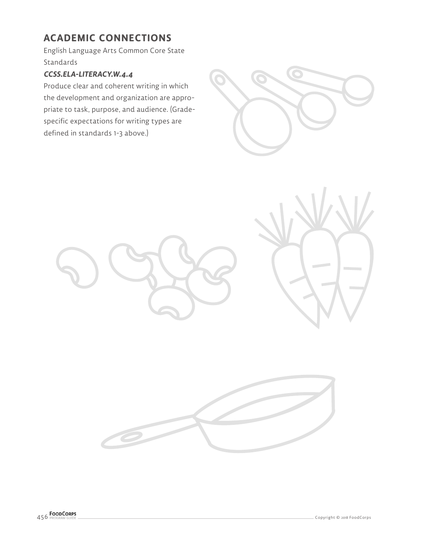## **ACADEMIC CONNECTIONS**

English Language Arts Common Core State Standards

#### **CCSS.ELA-LITERACY.W.4.4**

Produce clear and coherent writing in which the development and organization are appropriate to task, purpose, and audience. (Gradespecific expectations for writing types are defined in standards 1-3 above.)







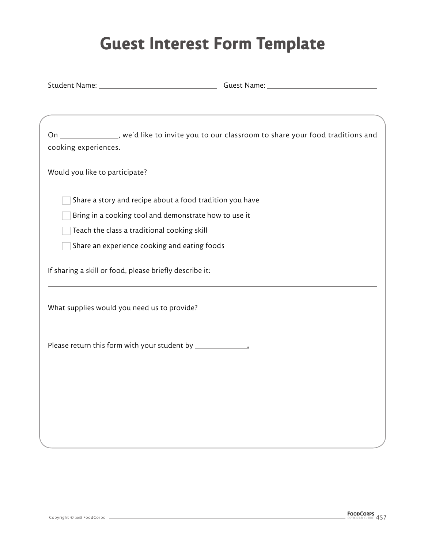## **Guest Interest Form Template**

Student Name: Guest Name:

| cooking experiences. | On ________________, we'd like to invite you to our classroom to share your food traditions and |
|----------------------|-------------------------------------------------------------------------------------------------|
|                      | Would you like to participate?                                                                  |
|                      | Share a story and recipe about a food tradition you have                                        |
|                      | Bring in a cooking tool and demonstrate how to use it                                           |
|                      | Teach the class a traditional cooking skill                                                     |
|                      | Share an experience cooking and eating foods                                                    |
|                      | If sharing a skill or food, please briefly describe it:                                         |
|                      | What supplies would you need us to provide?                                                     |
|                      |                                                                                                 |
|                      |                                                                                                 |
|                      |                                                                                                 |
|                      |                                                                                                 |
|                      |                                                                                                 |